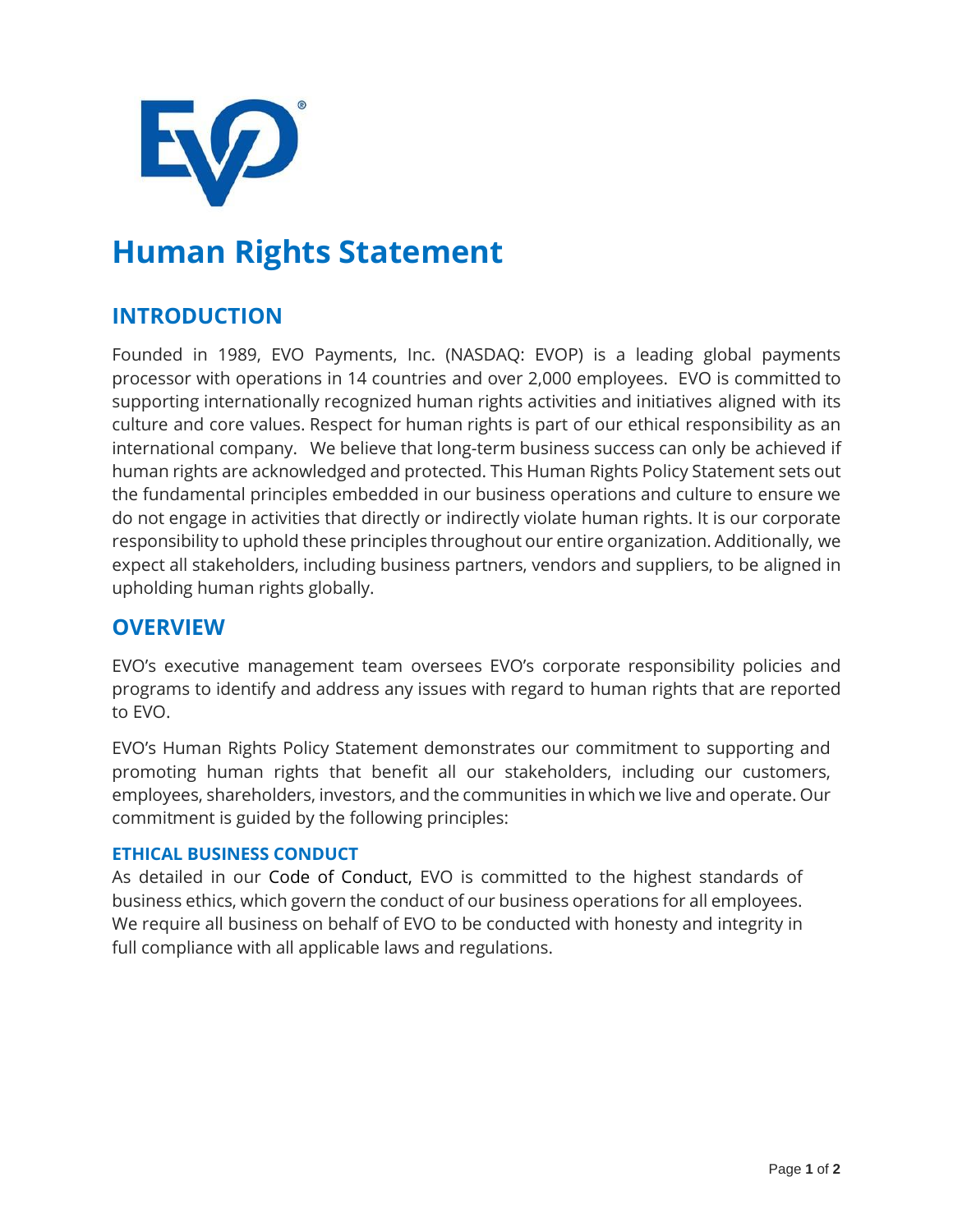

# **Human Rights Statement**

## **INTRODUCTION**

Founded in 1989, EVO Payments, Inc. (NASDAQ: EVOP) is a leading global payments processor with operations in 14 countries and over 2,000 employees. EVO is committed to supporting internationally recognized human rights activities and initiatives aligned with its culture and core values. Respect for human rights is part of our ethical responsibility as an international company. We believe that long-term business success can only be achieved if human rights are acknowledged and protected. This Human Rights Policy Statement sets out the fundamental principles embedded in our business operations and culture to ensure we do not engage in activities that directly or indirectly violate human rights. It is our corporate responsibility to uphold these principles throughout our entire organization. Additionally, we expect all stakeholders, including business partners, vendors and suppliers, to be aligned in upholding human rights globally.

## **OVERVIEW**

EVO's executive management team oversees EVO's corporate responsibility policies and programs to identify and address any issues with regard to human rights that are reported to EVO.

EVO's Human Rights Policy Statement demonstrates our commitment to supporting and promoting human rights that benefit all our stakeholders, including our customers, employees, shareholders, investors, and the communities in which we live and operate. Our commitment is guided by the following principles:

### **ETHICAL BUSINESS CONDUCT**

As detailed in our Code of Conduct, EVO is committed to the highest standards of business ethics, which govern the conduct of our business operations for all employees. We require all business on behalf of EVO to be conducted with honesty and integrity in full compliance with all applicable laws and regulations.